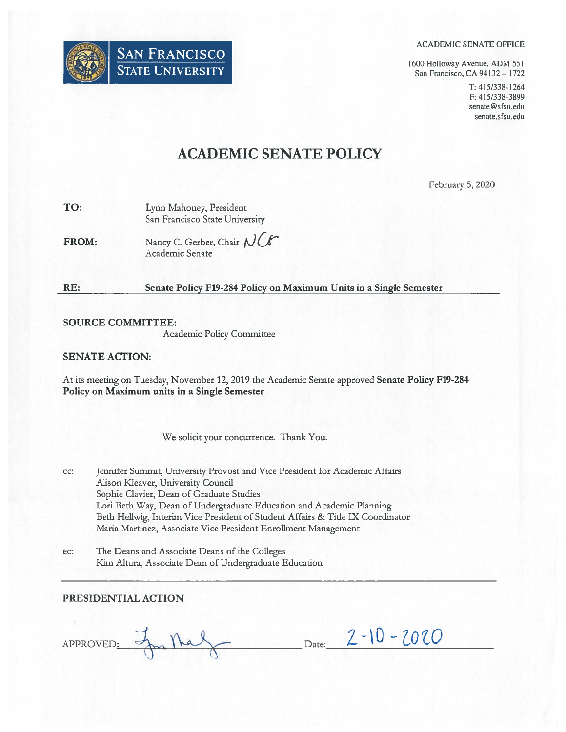

#### ACADEMIC SENATE OFFICE

1600 Holloway Avenue, ADM 551 San Francisco, CA 94132— 1722

> T: 415/338-1264 F: 415/338-3899 senate@sfsu.edu senate.sfsu.edu

# ACADEMIC SENATE POLICY

February 5, 2020

| TO: | Lynn Mahoney, President        |
|-----|--------------------------------|
|     | San Francisco State University |

FROM: Nancy C. Gerber, Chair NCG Academic Senate

## RE: Senate Policy F19-284 Policy on Maximum Units in <sup>a</sup> Single Semester

## SOURCE COMMITTEE:

Academic Policy Committee

## SENATE ACTION:

At its meeting on Tuesday, November 12, 2019 the Academic Senate approved Senate Policy F19-284 Policy on Maximum units in <sup>a</sup> Single Semester

We solicit your concurrence. Thank You.

- cc: Jennifer Summit, University Provost and Vice President for Academic Affairs Ails on Kleaver, University Council Sophie Clavier, Dean of Graduate Studies Lori Beth Way, Dean of Undergraduate Education and Academic Planning Beth Heliwig, Interim Vice President of Student Affairs & Tide IX Coordinator Maria Martinez, Associate Vice President Enrollment Management
- ec: The Deans and Associate Deans of the Colleges Kim Altura, Associate Dean of Undergraduate Education

## PRESIDENTIAL ACTION

APPROVED: In the form of the form of Date: 2-10-2020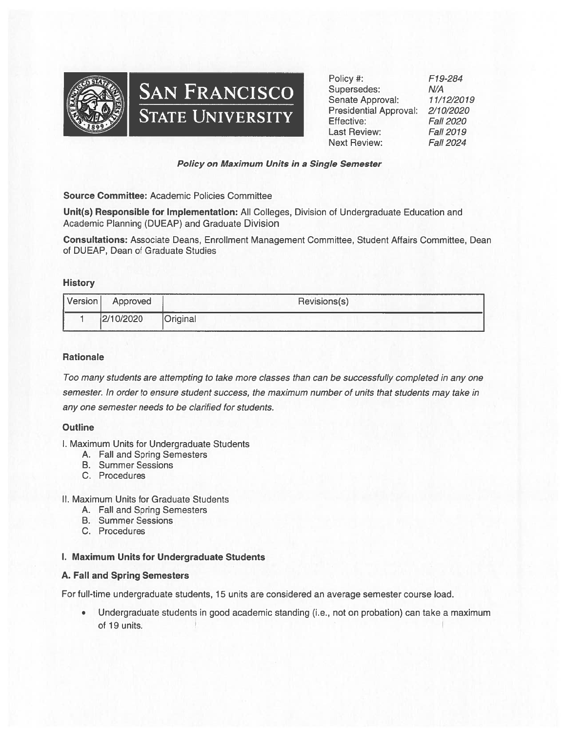



Policy #: F79-284 Supersedes: N/A Senate Approval: 11/12/2019 Presidential Approval: 2/70/2020 Effective: Fall 2020 Last Review: Fall 2019 Next Review: Fall 2024

## Policy on Maximum Units in <sup>a</sup> Single Semester

Source Committee: Academic Policies Committee

Unit(s) Responsible for Implementation: All Colleges, Division of Undergraduate Education and Academic Planning (DUEAP) and Graduate Division

Consultations: Associate Deans, Enrollment Management Committee, Student Affairs Committee, Dean of DUEAP, Dean of Graduate Studies

#### **History**

| Version | Approved  | .<br>Revisions(s) |
|---------|-----------|-------------------|
|         | 2/10/2020 | Original          |

## **Rationale**

Too many students are attempting to take more classes than can be successfully completed in any one semester. In order to ensure student success, the maximum number of units that students may take in any one semester needs to be clarified for students.

## **Outline**

- I. Maximum Units for Undergraduate Students
	- A. Fall and Spring Semesters
	- B. Summer Sessions
	- C. Procedures

#### II. Maximum Units for Graduate Students

- A. Fall and Spring Semesters
- B. Summer Sessions
- C. Procedures

## I. Maximum Units for Undergraduate Students

## A. Fall and Spring Semesters

For full-time undergraduate students, 15 units are considered an average semester course load.

• Undergraduate students in good academic standing (i.e., not on probation) can take <sup>a</sup> maximum of 19 units.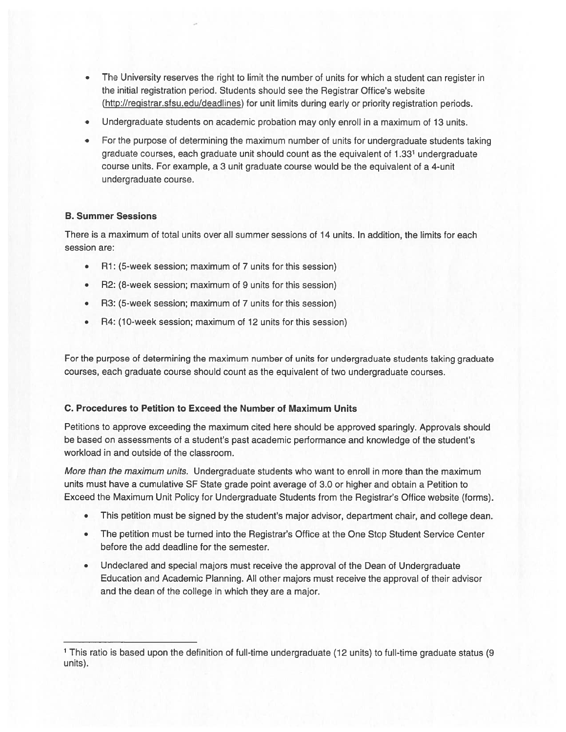- The University reserves the tight to limit the number of units for which <sup>a</sup> student can register in the initial registration period. Students should see the Registrar Office's website (http://registrar.sfsu.edu/deadlines) for unit limits during early or priority registration periods.
- Undergraduate students on academic probation may only enroll in <sup>a</sup> maximum of 13 units.
- For the purpose of determining the maximum number of units for undergraduate students taking graduate courses, each graduate unit should count as the equivalent of 1 <sup>331</sup> undergraduate course units. For example, <sup>a</sup> 3 unit graduate course would be the equivalent of <sup>a</sup> 4-unit undergraduate course.

## B. Summer Sessions

There is <sup>a</sup> maximum of total units over all summer sessions of 14 units, in addition, the limits for each session are:

- Ri: (5-week session; maximum of 7 units for this session)
- R2: (8-week session; maximum of 9 units for this session)
- R3: (5-week session; maximum of 7 units for this session)
- R4: (10-week session; maximum of 12 units for this session)

For the purpose of determining the maximum number of units for undergraduate students taking graduate courses, each graduate course should count as the equivalent of two undergraduate courses.

## C. Procedures to Petition to Exceed the Number of Maximum Units

Petitions to approve exceeding the maximum cited here should be approved sparingly. Approvals should be based on assessments of <sup>a</sup> student's pas<sup>t</sup> academic performance and knowledge of the student's workload in and outside of the classroom.

More than the maximum units. Undergraduate students who want to enroll in more than the maximum units must have <sup>a</sup> cumulative SF State grade point average of 3.0 or higher and obtain <sup>a</sup> Petition to Exceed the Maximum Unit Policy for Undergraduate Students from the Registrar's Office website (forms).

- •This petition must be signed by the student's major advisor, department chair, and college dean.
- The petition must be turned into the Registrar's Office at the One Stop Student Service Center before the add deadline for the semester.
- Undeclared and special majors must receive the approval of the Dean of Undergraduate Education and Academic Planning. All other majors must receive the approval of their advisor and the dean of the college in which they are <sup>a</sup> major.

<sup>1</sup> This ratio is based upon the definition of full-time undergraduate (12 units) to full-time graduate status (9 units).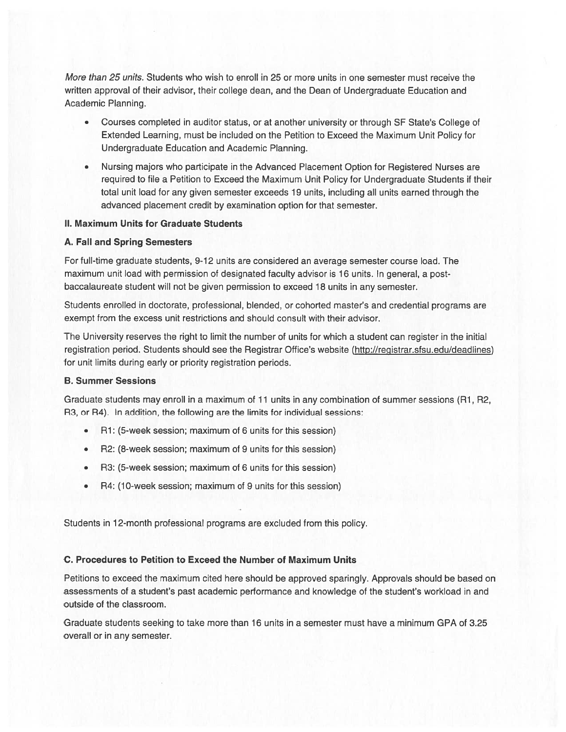More than 25 units. Students who wish to enroll in 25 or more units in one semester must receive the written approval of their advisor, their college dean, and the Dean of Undergraduate Education and Academic Planning.

- Courses completed in auditor status, or at another university or through SF State's College of Extended Learning, must be included on the Petition to Exceed the Maximum Unit Policy for Undergraduate Education and Academic Planning.
- Nursing majors who participate in the Advanced Placement Option for Registered Nurses are required to file <sup>a</sup> Petition to Exceed the Maximum Unit Policy for Undergraduate Students if their total unit load for any given semester exceeds 19 units, including all units earned through the advanced placement credit by examination option for that semester.

#### II. Maximum Units for Graduate Students

#### A. Fall and Spring Semesters

For full-time graduate students, 9-12 units are considered an average semester course load. The maximum unit load with permission of designated faculty advisor is 16 units. In general, <sup>a</sup> postbaccalaureate student will not be given permission to exceed 18 units in any semester.

Students enrolled in doctorate, professional, blended, or cohorted master's and credential programs are exemp<sup>t</sup> from the excess unit restrictions and should consult with their advisor.

The University reserves the right to limit the number of units for which <sup>a</sup> student can register in the initial registration period. Students should see the Registrar Office's website (http://registrar.sfsu.edu/deadlines) for unit limits during early or priority registration periods.

## B. Summer Sessions

Graduate students may entoil in <sup>a</sup> maximum of 11 units in any combination of summer sessions (Ri, R2, R3, or R4). In addition, the following are the limits for individual sessions:

- Ri: (5-week session; maximum of 6 units for this session)
- R2: (8-week session; maximum of 9 units for this session)
- R3: (5-week session; maximum of 6 units for this session)
- R4: (10-week session; maximum of 9 units for this session)

Students in 12-month professional programs are excluded from this policy.

#### C. Procedures to Petition to Exceed the Number of Maximum Units

Petitions to exceed the maximum cited here should be approved sparingly. Approvals should be based on assessments of <sup>a</sup> student's pas<sup>t</sup> academic performance and knowledge of the student's workload in and outside of the classroom.

Graduate students seeking to take more than 16 units in <sup>a</sup> semester must have <sup>a</sup> minimum GPA of 3.25 overall or in any semester.